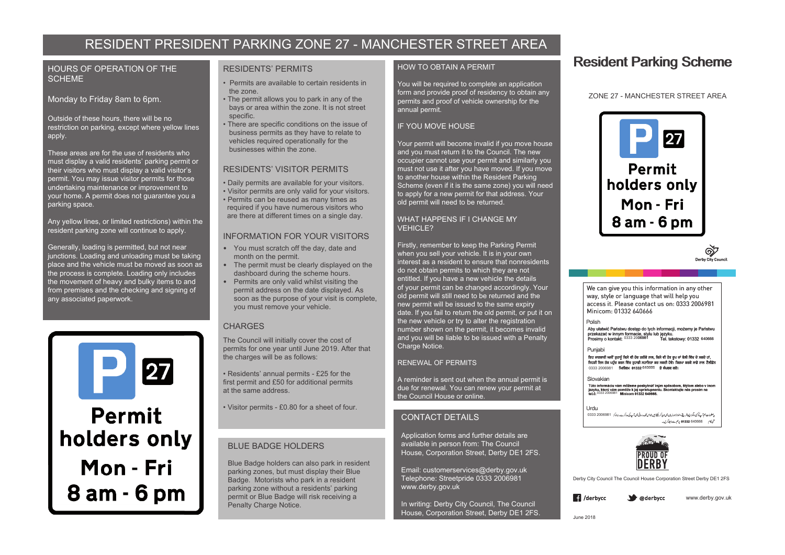# RESIDENT PRESIDENT PARKING ZONE 27 - MANCHESTER STREET AREA

## HOURS OF OPERATION OF THE **SCHEME**

Monday to Friday 8am to 6pm.

Outside of these hours, there will be no restriction on parking, except where yellow lines apply.

These areas are for the use of residents who must display a valid residents' parking permit or their visitors who must display a valid visitor's permit. You may issue visitor permits for those undertaking maintenance or improvement to your home. A permit does not guarantee you a parking space.

Any yellow lines, or limited restrictions) within the resident parking zone will continue to apply.

Generally, loading is permitted, but not near junctions. Loading and unloading must be taking place and the vehicle must be moved as soon as the process is complete. Loading only includes the movement of heavy and bulky items to and from premises and the checking and signing of any associated paperwork.



**Permit** holders only Mon - Fri 8 am - 6 pm

### RESIDENTS' PERMITS

- Permits are available to certain residents in the zone.
- The permit allows you to park in any of the bays or area within the zone. It is not street specific.
- There are specific conditions on the issue of business permits as they have to relate to vehicles required operationally for the businesses within the zone.

# RESIDENTS' VISITOR PERMITS

- Daily permits are available for your visitors.
- Visitor permits are only valid for your visitors. • Permits can be reused as many times as
- required if you have numerous visitors who are there at different times on a single day.

# INFORMATION FOR YOUR VISITORS

- You must scratch off the day, date and month on the permit.
- The permit must be clearly displayed on the dashboard during the scheme hours.
- Permits are only valid whilst visiting the permit address on the date displayed. As soon as the purpose of your visit is complete, you must remove your vehicle.

### **CHARGES**

The Council will initially cover the cost of permits for one year until June 2019. After that the charges will be as follows:

• Residents' annual permits - £25 for the first permit and £50 for additional permits at the same address.

• Visitor permits - £0.80 for a sheet of four.

# BLUE BADGE HOLDERS

Blue Badge holders can also park in resident parking zones, but must display their Blue Badge. Motorists who park in a resident parking zone without a residents' parking permit or Blue Badge will risk receiving a Penalty Charge Notice.

# HOW TO OBTAIN A PERMIT

You will be required to complete an application form and provide proof of residency to obtain any permits and proof of vehicle ownership for the annual permit.

# IF YOU MOVE HOUSE

Your permit will become invalid if you move house and you must return it to the Council. The new occupier cannot use your permit and similarly you must not use it after you have moved. If you move to another house within the Resident Parking Scheme (even if it is the same zone) you will need to apply for a new permit for that address. Your old permit will need to be returned.

#### WHAT HAPPENS IF I CHANGE MY VEHICLE?

Firstly, remember to keep the Parking Permit when you sell your vehicle. It is in your own interest as a resident to ensure that nonresidents do not obtain permits to which they are not entitled. If you have a new vehicle the details of your permit can be changed accordingly. Your old permit will still need to be returned and the new permit will be issued to the same expiry date. If you fail to return the old permit, or put it on the new vehicle or try to alter the registration number shown on the permit, it becomes invalid and you will be liable to be issued with a Penalty Charge Notice.

# RENEWAL OF PERMITS

A reminder is sent out when the annual permit is due for renewal. You can renew your permit at the Council House or online.

# CONTACT DETAILS

Application forms and further details are available in person from: The Council House, Corporation Street, Derby DE1 2FS.

Email: customerservices@derby.gov.uk Telephone: Streetpride 0333 2006981 www.derby.gov.uk

In writing: Derby City Council, The Council House, Corporation Street, Derby DE1 2FS.

# **Resident Parking Scheme**

# ZONE 27 - MANCHESTER STREET AREA



We can give you this information in any other way, style or language that will help you access it. Please contact us on: 0333 2006981 Minicom: 01332 640666

0333 20**06981** Tel. tekstowy: 01332 640666 Polish<br>Aby ułatwić Państwu dostęp do tych informacji, możemy je Państwu

Punjabi<br>ਇਹ ਜਾਣਕਾਰੀ ਅਸੀਂ ਤੁਹਾਨੂੰ ਕਿਸੇ ਵੀ ਹੋਰ ਤਰੀਕੇ ਨਾਲ, ਕਿਸੇ ਵੀ ਹੋਰ ਰੂਪ ਜਾਂ ਬੋਲੀ ਵਿੱਚ ਦੋ ਸਕਦੇ ਹਾਂ, ਜਿਹੜੀ ਇਸ ਤੱਕ ਪਹੁੰਚ ਕਰਨ ਵਿੱਚ ਤੁਹਾਡੀ ਸਹਾਇਤਾ ਕਰ ਸਕਦੀ ਹੋਵੇ। ਕਿਰਪਾ ਕਰਕੇ ਸਾਡੇ ਨਾਲ ਟੈਲੀਫ਼ੋਨ 718000 640666 206182 0333 2006981 64XXXX

#### Slovakian

Túto informáciu vám môžeme poskytnúť iným spôsobom, štýlom alebo v inom<br>jazyku, ktorý vám pomôže k jej spristupneniu. Skontaktujte nás prosím na<br>tel λ· 0333 2006981 Minicom 01332 640666.

#### Urdu

0333 2006981 ض 640666 640666 برہم سے دادلے کریں۔



Derby City Council The Council House Corporation Street Derby DE1 2FS

 $\blacksquare$  /derbvcc **M** @derbycc



⊗ঈ Derby City Council

June 2018